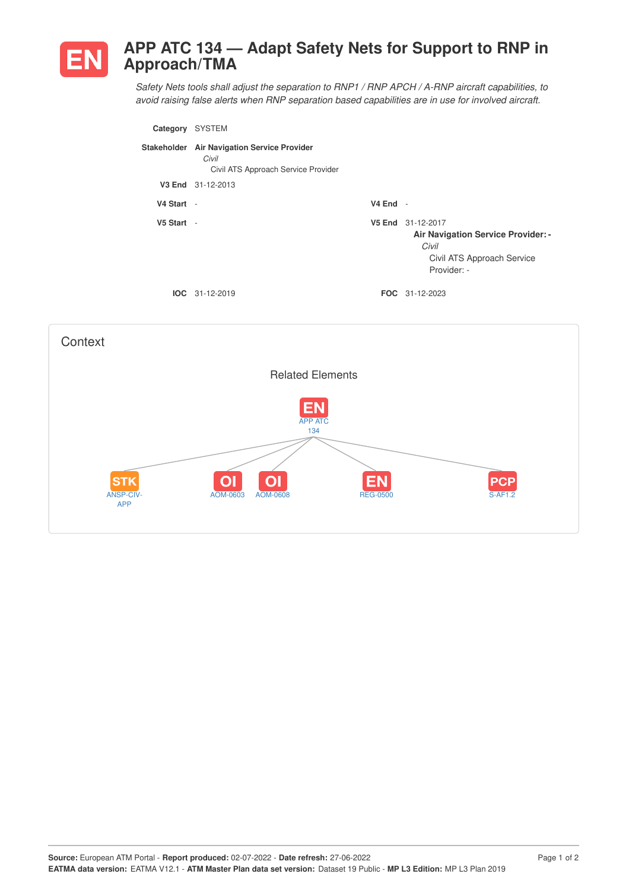

## **APP ATC 134 — Adapt Safety Nets for Support to RNP in Approach/TMA**

*Safety Nets tools shall adjust the separation to RNP1 / RNP APCH / A-RNP aircraft capabilities, to avoid raising false alerts when RNP separation based capabilities are in use for involved aircraft.*

| Category   | <b>SYSTEM</b>                                                                               |            |                                                                                                                      |
|------------|---------------------------------------------------------------------------------------------|------------|----------------------------------------------------------------------------------------------------------------------|
|            | Stakeholder Air Navigation Service Provider<br>Civil<br>Civil ATS Approach Service Provider |            |                                                                                                                      |
|            | V3 End 31-12-2013                                                                           |            |                                                                                                                      |
| V4 Start - |                                                                                             | $V4$ End - |                                                                                                                      |
| V5 Start - |                                                                                             |            | V5 End 31-12-2017<br><b>Air Navigation Service Provider: -</b><br>Civil<br>Civil ATS Approach Service<br>Provider: - |
|            | $IOC 31-12-2019$                                                                            |            | <b>FOC</b> 31-12-2023                                                                                                |